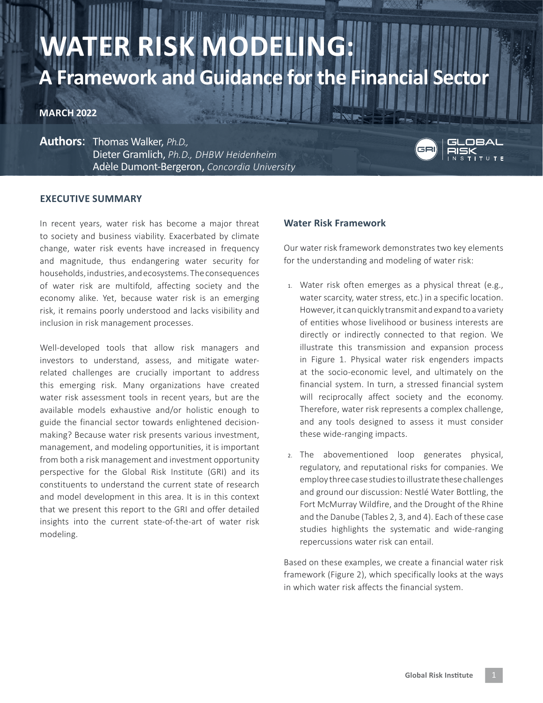# **WATER RISK N A Framework and Guidance for the Financial Sector**

# **MARCH 2022**

**Authors**: Thomas Walker, *Ph.D.,*  Dieter Gramlich, *Ph.D., DHBW Heidenheim* Adèle Dumont-Bergeron, *Concordia University*



#### **EXECUTIVE SUMMARY**

In recent years, water risk has become a major threat to society and business viability. Exacerbated by climate change, water risk events have increased in frequency and magnitude, thus endangering water security for households, industries, and ecosystems. The consequences of water risk are multifold, affecting society and the economy alike. Yet, because water risk is an emerging risk, it remains poorly understood and lacks visibility and inclusion in risk management processes.

Well-developed tools that allow risk managers and investors to understand, assess, and mitigate waterrelated challenges are crucially important to address this emerging risk. Many organizations have created water risk assessment tools in recent years, but are the available models exhaustive and/or holistic enough to guide the financial sector towards enlightened decisionmaking? Because water risk presents various investment, management, and modeling opportunities, it is important from both a risk management and investment opportunity perspective for the Global Risk Institute (GRI) and its constituents to understand the current state of research and model development in this area. It is in this context that we present this report to the GRI and offer detailed insights into the current state-of-the-art of water risk modeling.

#### **Water Risk Framework**

Our water risk framework demonstrates two key elements for the understanding and modeling of water risk:

- 1. Water risk often emerges as a physical threat (e.g., water scarcity, water stress, etc.) in a specific location. However, it can quickly transmit and expand to a variety of entities whose livelihood or business interests are directly or indirectly connected to that region. We illustrate this transmission and expansion process in Figure 1. Physical water risk engenders impacts at the socio-economic level, and ultimately on the financial system. In turn, a stressed financial system will reciprocally affect society and the economy. Therefore, water risk represents a complex challenge, and any tools designed to assess it must consider these wide-ranging impacts.
- 2. The abovementioned loop generates physical, regulatory, and reputational risks for companies. We employ three case studies to illustrate these challenges and ground our discussion: Nestlé Water Bottling, the Fort McMurray Wildfire, and the Drought of the Rhine and the Danube (Tables 2, 3, and 4). Each of these case studies highlights the systematic and wide-ranging repercussions water risk can entail.

Based on these examples, we create a financial water risk framework (Figure 2), which specifically looks at the ways in which water risk affects the financial system.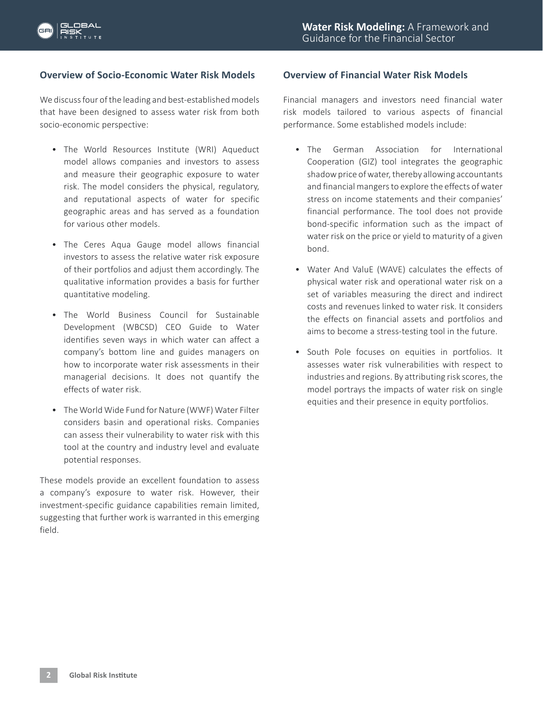# **Overview of Socio-Economic Water Risk Models**

We discuss four of the leading and best-established models that have been designed to assess water risk from both socio-economic perspective:

- The World Resources Institute (WRI) Aqueduct model allows companies and investors to assess and measure their geographic exposure to water risk. The model considers the physical, regulatory, and reputational aspects of water for specific geographic areas and has served as a foundation for various other models.
- The Ceres Aqua Gauge model allows financial investors to assess the relative water risk exposure of their portfolios and adjust them accordingly. The qualitative information provides a basis for further quantitative modeling.
- The World Business Council for Sustainable Development (WBCSD) CEO Guide to Water identifies seven ways in which water can affect a company's bottom line and guides managers on how to incorporate water risk assessments in their managerial decisions. It does not quantify the effects of water risk.
- The World Wide Fund for Nature (WWF) Water Filter considers basin and operational risks. Companies can assess their vulnerability to water risk with this tool at the country and industry level and evaluate potential responses.

These models provide an excellent foundation to assess a company's exposure to water risk. However, their investment-specific guidance capabilities remain limited, suggesting that further work is warranted in this emerging field.

## **Overview of Financial Water Risk Models**

Financial managers and investors need financial water risk models tailored to various aspects of financial performance. Some established models include:

- The German Association for International Cooperation (GIZ) tool integrates the geographic shadow price of water, thereby allowing accountants and financial mangers to explore the effects of water stress on income statements and their companies' financial performance. The tool does not provide bond-specific information such as the impact of water risk on the price or yield to maturity of a given bond.
- Water And ValuE (WAVE) calculates the effects of physical water risk and operational water risk on a set of variables measuring the direct and indirect costs and revenues linked to water risk. It considers the effects on financial assets and portfolios and aims to become a stress-testing tool in the future.
- South Pole focuses on equities in portfolios. It assesses water risk vulnerabilities with respect to industries and regions. By attributing risk scores, the model portrays the impacts of water risk on single equities and their presence in equity portfolios.